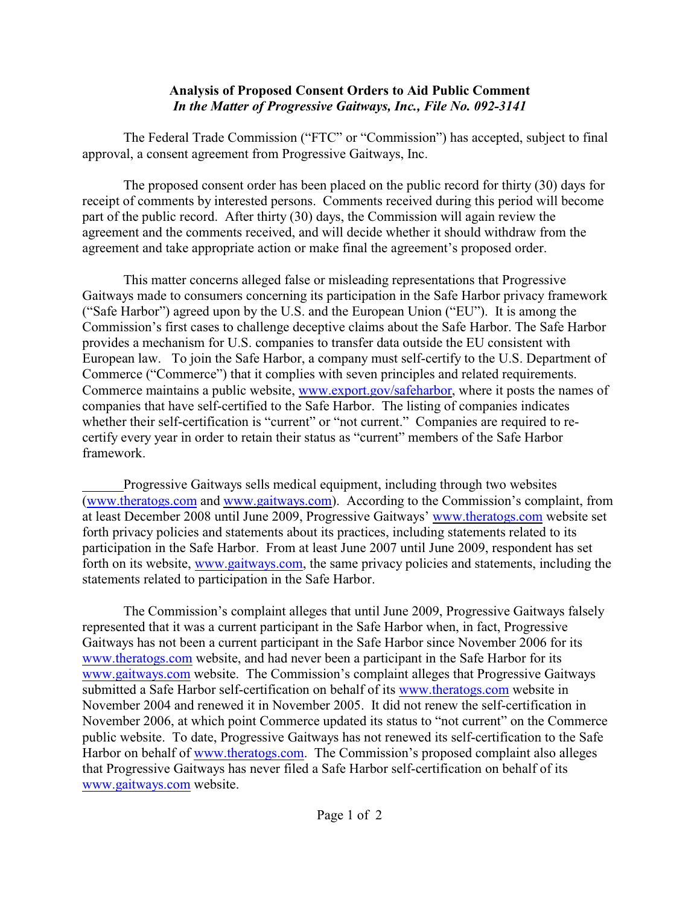## **Analysis of Proposed Consent Orders to Aid Public Comment** *In the Matter of Progressive Gaitways, Inc., File No. 092-3141*

The Federal Trade Commission ("FTC" or "Commission") has accepted, subject to final approval, a consent agreement from Progressive Gaitways, Inc.

The proposed consent order has been placed on the public record for thirty (30) days for receipt of comments by interested persons. Comments received during this period will become part of the public record. After thirty (30) days, the Commission will again review the agreement and the comments received, and will decide whether it should withdraw from the agreement and take appropriate action or make final the agreement's proposed order.

This matter concerns alleged false or misleading representations that Progressive Gaitways made to consumers concerning its participation in the Safe Harbor privacy framework ("Safe Harbor") agreed upon by the U.S. and the European Union ("EU"). It is among the Commission's first cases to challenge deceptive claims about the Safe Harbor. The Safe Harbor provides a mechanism for U.S. companies to transfer data outside the EU consistent with European law. To join the Safe Harbor, a company must self-certify to the U.S. Department of Commerce ("Commerce") that it complies with seven principles and related requirements. Commerce maintains a public website, [www.export.gov/safeharbor](http://www.export.gov/safeharbor,), where it posts the names of companies that have self-certified to the Safe Harbor. The listing of companies indicates whether their self-certification is "current" or "not current." Companies are required to recertify every year in order to retain their status as "current" members of the Safe Harbor framework.

Progressive Gaitways sells medical equipment, including through two websites [\(www.theratogs.com and www.gaitways.com](http://www.geeks.com))). According to the Commission's complaint, from at least December 2008 until June 2009, Progressive Gaitways' [www.theratogs.com](http://www.geeks.com)) website set forth privacy policies and statements about its practices, including statements related to its participation in the Safe Harbor. From at least June 2007 until June 2009, respondent has set forth on its website, [www.gaitways.com](http://www.gaitways.com), the same privacy policies and statements, including the statements related to participation in the Safe Harbor.

The Commission's complaint alleges that until June 2009, Progressive Gaitways falsely represented that it was a current participant in the Safe Harbor when, in fact, Progressive Gaitways has not been a current participant in the Safe Harbor since November 2006 for its [www.theratogs.com](http://www.theratogs.com) website, and had never been a participant in the Safe Harbor for its [www.gaitways.com](http://www.gaitways.com) website. The Commission's complaint alleges that Progressive Gaitways submitted a Safe Harbor self-certification on behalf of its [www.theratogs.com](http://www.theratogs.com) website in November 2004 and renewed it in November 2005. It did not renew the self-certification in November 2006, at which point Commerce updated its status to "not current" on the Commerce public website. To date, Progressive Gaitways has not renewed its self-certification to the Safe Harbor on behalf of [www.theratogs.com](http://www.theratogs.com). The Commission's proposed complaint also alleges that Progressive Gaitways has never filed a Safe Harbor self-certification on behalf of its [www.gaitways.com](http://www.gaitways.com) website.